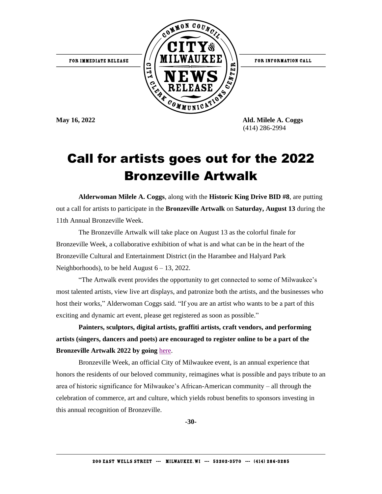FOR INFORMATION CALL



(414) 286-2994

## Call for artists goes out for the 2022 Bronzeville Artwalk

**Alderwoman Milele A. Coggs**, along with the **Historic King Drive BID #8**, are putting out a call for artists to participate in the **Bronzeville Artwalk** on **Saturday, August 13** during the 11th Annual Bronzeville Week.

The Bronzeville Artwalk will take place on August 13 as the colorful finale for Bronzeville Week, a collaborative exhibition of what is and what can be in the heart of the Bronzeville Cultural and Entertainment District (in the Harambee and Halyard Park Neighborhoods), to be held August  $6 - 13$ , 2022.

"The Artwalk event provides the opportunity to get connected to some of Milwaukee's most talented artists, view live art displays, and patronize both the artists, and the businesses who host their works," Alderwoman Coggs said. "If you are an artist who wants to be a part of this exciting and dynamic art event, please get registered as soon as possible."

**Painters, sculptors, digital artists, graffiti artists, craft vendors, and performing artists (singers, dancers and poets) are encouraged to register online to be a part of the Bronzeville Artwalk 2022 by going** [here.](https://kingdriveis.com/bronzeville-week/2022-artwalk-registration-form/)

Bronzeville Week, an official City of Milwaukee event, is an annual experience that honors the residents of our beloved community, reimagines what is possible and pays tribute to an area of historic significance for Milwaukee's African-American community – all through the celebration of commerce, art and culture, which yields robust benefits to sponsors investing in this annual recognition of Bronzeville.

**-30-**